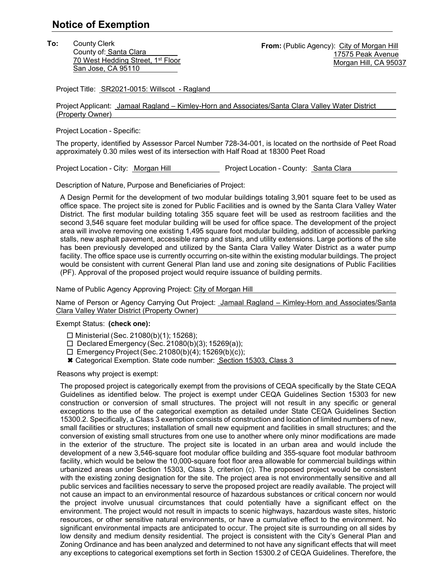## **Notice of Exemption**

**To:** County Clerk County of: Santa Clara 70 West Hedding Street, 1<sup>st</sup> Floor San Jose, CA 95110

Project Title: SR2021-0015: Willscot - Ragland

Project Applicant: Jamaal Ragland – Kimley-Horn and Associates/Santa Clara Valley Water District (Property Owner)

Project Location - Specific:

The property, identified by Assessor Parcel Number 728-34-001, is located on the northside of Peet Road approximately 0.30 miles west of its intersection with Half Road at 18300 Peet Road

Project Location - City: Morgan Hill Project Location - County: Santa Clara

Description of Nature, Purpose and Beneficiaries of Project:

A Design Permit for the development of two modular buildings totaling 3,901 square feet to be used as office space. The project site is zoned for Public Facilities and is owned by the Santa Clara Valley Water District. The first modular building totaling 355 square feet will be used as restroom facilities and the second 3,546 square feet modular building will be used for office space. The development of the project area will involve removing one existing 1,495 square foot modular building, addition of accessible parking stalls, new asphalt pavement, accessible ramp and stairs, and utility extensions. Large portions of the site has been previously developed and utilized by the Santa Clara Valley Water District as a water pump facility. The office space use is currently occurring on-site within the existing modular buildings. The project would be consistent with current General Plan land use and zoning site designations of Public Facilities (PF). Approval of the proposed project would require issuance of building permits.

Name of Public Agency Approving Project: City of Morgan Hill

Name of Person or Agency Carrying Out Project: Jamaal Ragland - Kimley-Horn and Associates/Santa Clara Valley Water District (Property Owner)

Exempt Status: **(check one):**

- $\Box$  Ministerial (Sec. 21080(b)(1); 15268);
- $\Box$  Declared Emergency (Sec. 21080(b)(3); 15269(a));
- $\Box$  Emergency Project (Sec. 21080(b)(4); 15269(b)(c));
- Categorical Exemption. State code number: Section 15303, Class 3

Reasons why project is exempt:

The proposed project is categorically exempt from the provisions of CEQA specifically by the State CEQA Guidelines as identified below. The project is exempt under CEQA Guidelines Section 15303 for new construction or conversion of small structures. The project will not result in any specific or general exceptions to the use of the categorical exemption as detailed under State CEQA Guidelines Section 15300.2. Specifically, a Class 3 exemption consists of construction and location of limited numbers of new, small facilities or structures; installation of small new equipment and facilities in small structures; and the conversion of existing small structures from one use to another where only minor modifications are made in the exterior of the structure. The project site is located in an urban area and would include the development of a new 3,546-square foot modular office building and 355-square foot modular bathroom facility, which would be below the 10,000-square foot floor area allowable for commercial buildings within urbanized areas under Section 15303, Class 3, criterion (c). The proposed project would be consistent with the existing zoning designation for the site. The project area is not environmentally sensitive and all public services and facilities necessary to serve the proposed project are readily available. The project will not cause an impact to an environmental resource of hazardous substances or critical concern nor would the project involve unusual circumstances that could potentially have a significant effect on the environment. The project would not result in impacts to scenic highways, hazardous waste sites, historic resources, or other sensitive natural environments, or have a cumulative effect to the environment. No significant environmental impacts are anticipated to occur. The project site is surrounding on all sides by low density and medium density residential. The project is consistent with the City's General Plan and Zoning Ordinance and has been analyzed and determined to not have any significant effects that will meet any exceptions to categorical exemptions set forth in Section 15300.2 of CEQA Guidelines. Therefore, the